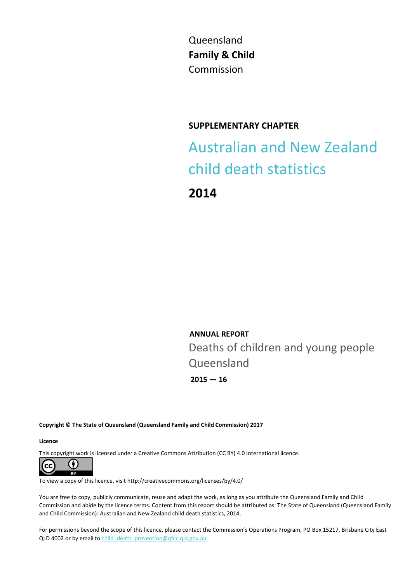Queensland **Family & Child** Commission

### **SUPPLEMENTARY CHAPTER**

Australian and New Zealand child death statistics

**2014**

**ANNUAL REPORT** Deaths of children and young people Queensland

**2015 — 16**

**Copyright © The State of Queensland (Queensland Family and Child Commission) 2017**

**Licence**

This copyright work is licensed under a Creative Commons Attribution (CC BY) 4.0 International licence.



To view a copy of this licence, visit http://creativecommons.org/licenses/by/4.0/

You are free to copy, publicly communicate, reuse and adapt the work, as long as you attribute the Queensland Family and Child Commission and abide by the licence terms. Content from this report should be attributed as: The State of Queensland (Queensland Family and Child Commission): Australian and New Zealand child death statistics, 2014.

For permissions beyond the scope of this licence, please contact the Commission's Operations Program, PO Box 15217, Brisbane City East QLD 4002 or by email to child death prevention@qfcc.qld.gov.au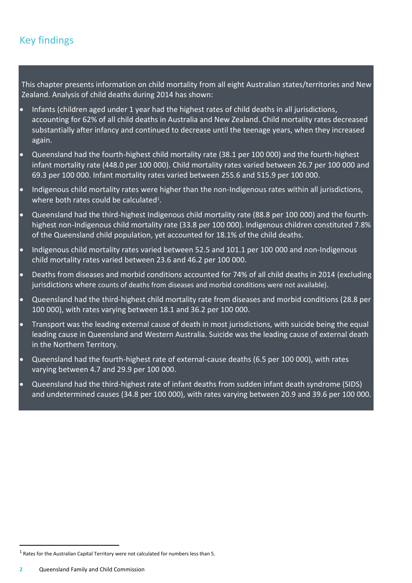## Key findings

This chapter presents information on child mortality from all eight Australian states/territories and New Zealand. Analysis of child deaths during 2014 has shown:

- Infants (children aged under 1 year had the highest rates of child deaths in all jurisdictions, accounting for 62% of all child deaths in Australia and New Zealand. Child mortality rates decreased substantially after infancy and continued to decrease until the teenage years, when they increased again.
- Queensland had the fourth-highest child mortality rate (38.1 per 100 000) and the fourth-highest infant mortality rate (448.0 per 100 000). Child mortality rates varied between 26.7 per 100 000 and 69.3 per 100 000. Infant mortality rates varied between 255.6 and 515.9 per 100 000.
- Indigenous child mortality rates were higher than the non-Indigenous rates within all jurisdictions, where both rates could be calculated<sup>1</sup>.
- Queensland had the third-highest Indigenous child mortality rate (88.8 per 100 000) and the fourthhighest non-Indigenous child mortality rate (33.8 per 100 000). Indigenous children constituted 7.8% of the Queensland child population, yet accounted for 18.1% of the child deaths.
- Indigenous child mortality rates varied between 52.5 and 101.1 per 100 000 and non-Indigenous child mortality rates varied between 23.6 and 46.2 per 100 000.
- Deaths from diseases and morbid conditions accounted for 74% of all child deaths in 2014 (excluding jurisdictions where counts of deaths from diseases and morbid conditions were not available).
- Queensland had the third-highest child mortality rate from diseases and morbid conditions (28.8 per 100 000), with rates varying between 18.1 and 36.2 per 100 000.
- Transport was the leading external cause of death in most jurisdictions, with suicide being the equal leading cause in Queensland and Western Australia. Suicide was the leading cause of external death in the Northern Territory.
- Queensland had the fourth-highest rate of external-cause deaths (6.5 per 100 000), with rates varying between 4.7 and 29.9 per 100 000.
- Queensland had the third-highest rate of infant deaths from sudden infant death syndrome (SIDS) and undetermined causes (34.8 per 100 000), with rates varying between 20.9 and 39.6 per 100 000.

 $\overline{a}$ 

 $^1$  Rates for the Australian Capital Territory were not calculated for numbers less than 5.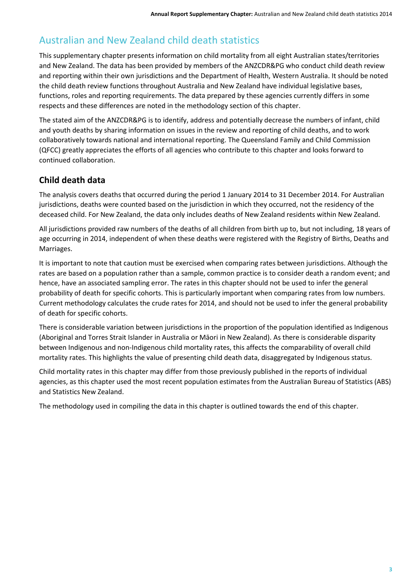## Australian and New Zealand child death statistics

This supplementary chapter presents information on child mortality from all eight Australian states/territories and New Zealand. The data has been provided by members of the ANZCDR&PG who conduct child death review and reporting within their own jurisdictions and the Department of Health, Western Australia. It should be noted the child death review functions throughout Australia and New Zealand have individual legislative bases, functions, roles and reporting requirements. The data prepared by these agencies currently differs in some respects and these differences are noted in the methodology section of this chapter.

The stated aim of the ANZCDR&PG is to identify, address and potentially decrease the numbers of infant, child and youth deaths by sharing information on issues in the review and reporting of child deaths, and to work collaboratively towards national and international reporting. The Queensland Family and Child Commission (QFCC) greatly appreciates the efforts of all agencies who contribute to this chapter and looks forward to continued collaboration.

## **Child death data**

The analysis covers deaths that occurred during the period 1 January 2014 to 31 December 2014. For Australian jurisdictions, deaths were counted based on the jurisdiction in which they occurred, not the residency of the deceased child. For New Zealand, the data only includes deaths of New Zealand residents within New Zealand.

All jurisdictions provided raw numbers of the deaths of all children from birth up to, but not including, 18 years of age occurring in 2014, independent of when these deaths were registered with the Registry of Births, Deaths and Marriages.

It is important to note that caution must be exercised when comparing rates between jurisdictions. Although the rates are based on a population rather than a sample, common practice is to consider death a random event; and hence, have an associated sampling error. The rates in this chapter should not be used to infer the general probability of death for specific cohorts. This is particularly important when comparing rates from low numbers. Current methodology calculates the crude rates for 2014, and should not be used to infer the general probability of death for specific cohorts.

There is considerable variation between jurisdictions in the proportion of the population identified as Indigenous (Aboriginal and Torres Strait Islander in Australia or Māori in New Zealand). As there is considerable disparity between Indigenous and non-Indigenous child mortality rates, this affects the comparability of overall child mortality rates. This highlights the value of presenting child death data, disaggregated by Indigenous status.

Child mortality rates in this chapter may differ from those previously published in the reports of individual agencies, as this chapter used the most recent population estimates from the Australian Bureau of Statistics (ABS) and Statistics New Zealand.

The methodology used in compiling the data in this chapter is outlined towards the end of this chapter.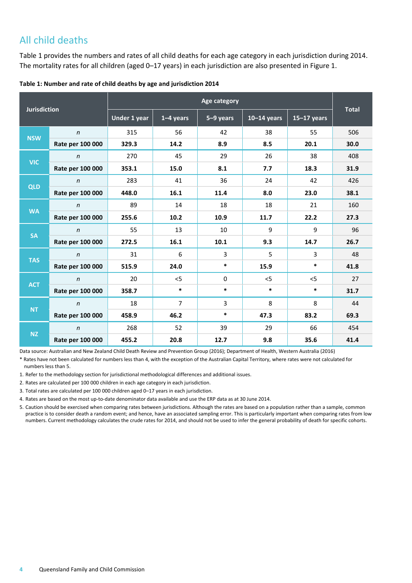## All child deaths

Table 1 provides the numbers and rates of all child deaths for each age category in each jurisdiction during 2014. The mortality rates for all children (aged 0-17 years) in each jurisdiction are also presented in Figure 1.

| Table 1: Number and rate of child deaths by age and jurisdiction 2014 |  |
|-----------------------------------------------------------------------|--|
|-----------------------------------------------------------------------|--|

| <b>Jurisdiction</b> |                  | Age category |                |                |               |               |              |
|---------------------|------------------|--------------|----------------|----------------|---------------|---------------|--------------|
|                     |                  | Under 1 year | $1-4$ years    | $5-9$ years    | $10-14$ years | $15-17$ years | <b>Total</b> |
| <b>NSW</b>          | $\mathsf{n}$     | 315          | 56             | 42             | 38            | 55            | 506          |
|                     | Rate per 100 000 | 329.3        | 14.2           | 8.9            | 8.5           | 20.1          | 30.0         |
| <b>VIC</b>          | $\mathsf{n}$     | 270          | 45             | 29             | 26            | 38            | 408          |
|                     | Rate per 100 000 | 353.1        | 15.0           | 8.1            | 7.7           | 18.3          | 31.9         |
| <b>QLD</b>          | $\mathsf{n}$     | 283          | 41             | 36             | 24            | 42            | 426          |
|                     | Rate per 100 000 | 448.0        | 16.1           | 11.4           | 8.0           | 23.0          | 38.1         |
|                     | $\mathsf{n}$     | 89           | 14             | 18             | 18            | 21            | 160          |
| <b>WA</b>           | Rate per 100 000 | 255.6        | 10.2           | 10.9           | 11.7          | 22.2          | 27.3         |
| <b>SA</b>           | $\mathsf{n}$     | 55           | 13             | 10             | 9             | 9             | 96           |
|                     | Rate per 100 000 | 272.5        | 16.1           | 10.1           | 9.3           | 14.7          | 26.7         |
|                     | $\mathsf{n}$     | 31           | 6              | 3              | 5             | 3             | 48           |
| <b>TAS</b>          | Rate per 100 000 | 515.9        | 24.0           | $\ast$         | 15.9          | $\ast$        | 41.8         |
|                     | $\mathsf{n}$     | 20           | < 5            | $\mathbf{0}$   | 5             | 5             | 27           |
| <b>ACT</b>          | Rate per 100 000 | 358.7        | $\ast$         | $\ast$         | $\ast$        | $\ast$        | 31.7         |
|                     | $\mathsf{n}$     | 18           | $\overline{7}$ | $\overline{3}$ | 8             | 8             | 44           |
| <b>NT</b>           | Rate per 100 000 | 458.9        | 46.2           | $\ast$         | 47.3          | 83.2          | 69.3         |
|                     | $\mathsf{n}$     | 268          | 52             | 39             | 29            | 66            | 454          |
| <b>NZ</b>           | Rate per 100 000 | 455.2        | 20.8           | 12.7           | 9.8           | 35.6          | 41.4         |

Data source: Australian and New Zealand Child Death Review and Prevention Group (2016); Department of Health, Western Australia (2016)

\* Rates have not been calculated for numbers less than 4, with the exception of the Australian Capital Territory, where rates were not calculated for numbers less than 5.

1. Refer to the methodology section for jurisdictional methodological differences and additional issues.

2. Rates are calculated per 100 000 children in each age category in each jurisdiction.

3. Total rates are calculated per 100 000 children aged 0–17 years in each jurisdiction.

4. Rates are based on the most up-to-date denominator data available and use the ERP data as at 30 June 2014.

5. Caution should be exercised when comparing rates between jurisdictions. Although the rates are based on a population rather than a sample, common practice is to consider death a random event; and hence, have an associated sampling error. This is particularly important when comparing rates from low numbers. Current methodology calculates the crude rates for 2014, and should not be used to infer the general probability of death for specific cohorts.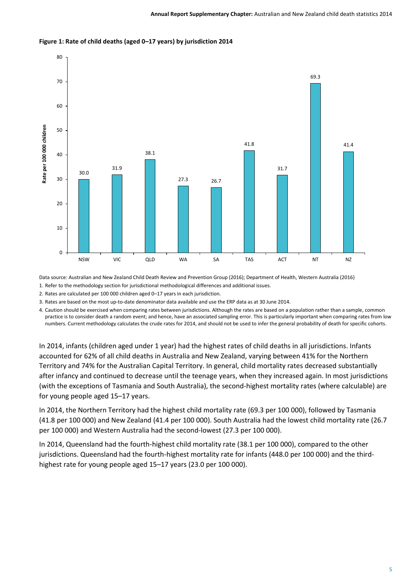

#### **Figure 1: Rate of child deaths (aged 0–17 years) by jurisdiction 2014**

Data source: Australian and New Zealand Child Death Review and Prevention Group (2016); Department of Health, Western Australia (2016)

1. Refer to the methodology section for jurisdictional methodological differences and additional issues.

2. Rates are calculated per 100 000 children aged 0–17 years in each jurisdiction.

3. Rates are based on the most up-to-date denominator data available and use the ERP data as at 30 June 2014.

4. Caution should be exercised when comparing rates between jurisdictions. Although the rates are based on a population rather than a sample, common practice is to consider death a random event; and hence, have an associated sampling error. This is particularly important when comparing rates from low numbers. Current methodology calculates the crude rates for 2014, and should not be used to infer the general probability of death for specific cohorts.

In 2014, infants (children aged under 1 year) had the highest rates of child deaths in all jurisdictions. Infants accounted for 62% of all child deaths in Australia and New Zealand, varying between 41% for the Northern Territory and 74% for the Australian Capital Territory. In general, child mortality rates decreased substantially after infancy and continued to decrease until the teenage years, when they increased again. In most jurisdictions (with the exceptions of Tasmania and South Australia), the second-highest mortality rates (where calculable) are for young people aged 15–17 years.

In 2014, the Northern Territory had the highest child mortality rate (69.3 per 100 000), followed by Tasmania (41.8 per 100 000) and New Zealand (41.4 per 100 000). South Australia had the lowest child mortality rate (26.7 per 100 000) and Western Australia had the second-lowest (27.3 per 100 000).

In 2014, Queensland had the fourth-highest child mortality rate (38.1 per 100 000), compared to the other jurisdictions. Queensland had the fourth-highest mortality rate for infants (448.0 per 100 000) and the thirdhighest rate for young people aged 15–17 years (23.0 per 100 000).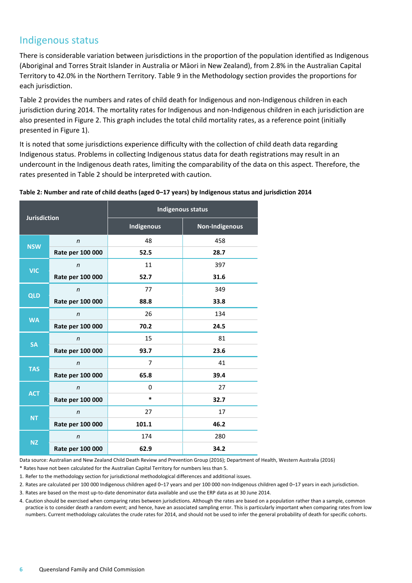## Indigenous status

There is considerable variation between jurisdictions in the proportion of the population identified as Indigenous (Aboriginal and Torres Strait Islander in Australia or Māori in New Zealand), from 2.8% in the Australian Capital Territory to 42.0% in the Northern Territory. Table 9 in the Methodology section provides the proportions for each jurisdiction.

Table 2 provides the numbers and rates of child death for Indigenous and non-Indigenous children in each jurisdiction during 2014. The mortality rates for Indigenous and non-Indigenous children in each jurisdiction are also presented in Figure 2. This graph includes the total child mortality rates, as a reference point (initially presented in Figure 1).

It is noted that some jurisdictions experience difficulty with the collection of child death data regarding Indigenous status. Problems in collecting Indigenous status data for death registrations may result in an undercount in the Indigenous death rates, limiting the comparability of the data on this aspect. Therefore, the rates presented in Table 2 should be interpreted with caution.

| <b>Jurisdiction</b>        |                  | <b>Indigenous status</b> |                |  |  |  |
|----------------------------|------------------|--------------------------|----------------|--|--|--|
|                            |                  | <b>Indigenous</b>        | Non-Indigenous |  |  |  |
| $\mathsf{n}$<br><b>NSW</b> |                  | 48                       | 458            |  |  |  |
|                            | Rate per 100 000 | 52.5                     | 28.7           |  |  |  |
| <b>VIC</b>                 | $\mathsf{n}$     | 11                       | 397            |  |  |  |
|                            | Rate per 100 000 | 52.7                     | 31.6           |  |  |  |
|                            | n                | 77                       | 349            |  |  |  |
| <b>QLD</b>                 | Rate per 100 000 | 88.8                     | 33.8           |  |  |  |
| <b>WA</b>                  | $\mathsf{n}$     | 26                       | 134            |  |  |  |
|                            | Rate per 100 000 | 70.2                     | 24.5           |  |  |  |
|                            | $\mathsf{n}$     | 15                       | 81             |  |  |  |
| <b>SA</b>                  | Rate per 100 000 | 93.7                     | 23.6           |  |  |  |
|                            | n                | 7                        | 41             |  |  |  |
| <b>TAS</b>                 | Rate per 100 000 | 65.8                     | 39.4           |  |  |  |
|                            | $\mathsf{n}$     | 0                        | 27             |  |  |  |
| <b>ACT</b>                 | Rate per 100 000 | $\ast$                   | 32.7           |  |  |  |
|                            | $\mathsf{n}$     | 27                       | 17             |  |  |  |
| <b>NT</b>                  | Rate per 100 000 | 101.1                    | 46.2           |  |  |  |
|                            | $\mathsf{n}$     | 174                      | 280            |  |  |  |
| <b>NZ</b>                  | Rate per 100 000 | 62.9                     | 34.2           |  |  |  |

#### **Table 2: Number and rate of child deaths (aged 0–17 years) by Indigenous status and jurisdiction 2014**

Data source: Australian and New Zealand Child Death Review and Prevention Group (2016); Department of Health, Western Australia (2016)

\* Rates have not been calculated for the Australian Capital Territory for numbers less than 5.

1. Refer to the methodology section for jurisdictional methodological differences and additional issues.

2. Rates are calculated per 100 000 Indigenous children aged 0–17 years and per 100 000 non-Indigenous children aged 0–17 years in each jurisdiction.

3. Rates are based on the most up-to-date denominator data available and use the ERP data as at 30 June 2014.

4. Caution should be exercised when comparing rates between jurisdictions. Although the rates are based on a population rather than a sample, common practice is to consider death a random event; and hence, have an associated sampling error. This is particularly important when comparing rates from low numbers. Current methodology calculates the crude rates for 2014, and should not be used to infer the general probability of death for specific cohorts.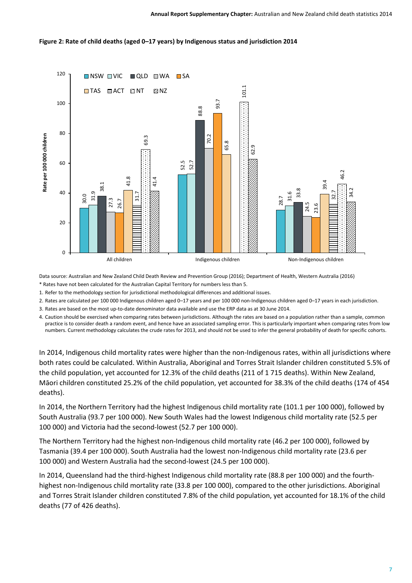#### **Figure 2: Rate of child deaths (aged 0–17 years) by Indigenous status and jurisdiction 2014**



Data source: Australian and New Zealand Child Death Review and Prevention Group (2016); Department of Health, Western Australia (2016)

\* Rates have not been calculated for the Australian Capital Territory for numbers less than 5.

1. Refer to the methodology section for jurisdictional methodological differences and additional issues.

2. Rates are calculated per 100 000 Indigenous children aged 0–17 years and per 100 000 non-Indigenous children aged 0–17 years in each jurisdiction.

3. Rates are based on the most up-to-date denominator data available and use the ERP data as at 30 June 2014.

4. Caution should be exercised when comparing rates between jurisdictions. Although the rates are based on a population rather than a sample, common practice is to consider death a random event, and hence have an associated sampling error. This is particularly important when comparing rates from low numbers. Current methodology calculates the crude rates for 2013, and should not be used to infer the general probability of death for specific cohorts.

In 2014, Indigenous child mortality rates were higher than the non-Indigenous rates, within all jurisdictions where both rates could be calculated. Within Australia, Aboriginal and Torres Strait Islander children constituted 5.5% of the child population, yet accounted for 12.3% of the child deaths (211 of 1 715 deaths). Within New Zealand, Māori children constituted 25.2% of the child population, yet accounted for 38.3% of the child deaths (174 of 454 deaths).

In 2014, the Northern Territory had the highest Indigenous child mortality rate (101.1 per 100 000), followed by South Australia (93.7 per 100 000). New South Wales had the lowest Indigenous child mortality rate (52.5 per 100 000) and Victoria had the second-lowest (52.7 per 100 000).

The Northern Territory had the highest non-Indigenous child mortality rate (46.2 per 100 000), followed by Tasmania (39.4 per 100 000). South Australia had the lowest non-Indigenous child mortality rate (23.6 per 100 000) and Western Australia had the second-lowest (24.5 per 100 000).

In 2014, Queensland had the third-highest Indigenous child mortality rate (88.8 per 100 000) and the fourthhighest non-Indigenous child mortality rate (33.8 per 100 000), compared to the other jurisdictions. Aboriginal and Torres Strait Islander children constituted 7.8% of the child population, yet accounted for 18.1% of the child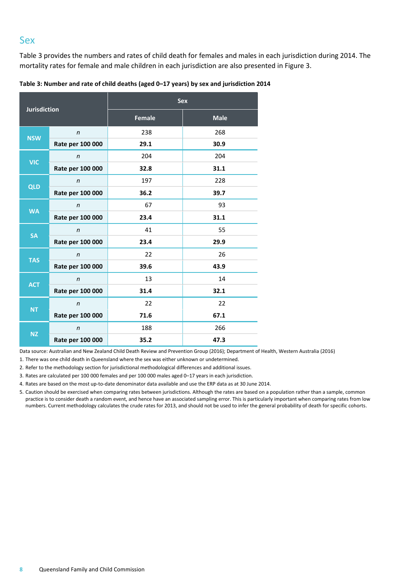### Sex

Table 3 provides the numbers and rates of child death for females and males in each jurisdiction during 2014. The mortality rates for female and male children in each jurisdiction are also presented in Figure 3.

**Table 3: Number and rate of child deaths (aged 0–17 years) by sex and jurisdiction 2014**

| <b>Jurisdiction</b> |                  | <b>Sex</b>    |             |  |  |  |
|---------------------|------------------|---------------|-------------|--|--|--|
|                     |                  | <b>Female</b> | <b>Male</b> |  |  |  |
| <b>NSW</b>          | $\mathsf{n}$     | 238           | 268         |  |  |  |
|                     | Rate per 100 000 | 29.1          | 30.9        |  |  |  |
| <b>VIC</b>          | $\mathsf{n}$     | 204           | 204         |  |  |  |
|                     | Rate per 100 000 | 32.8          | 31.1        |  |  |  |
|                     | $\mathsf{n}$     | 197           | 228         |  |  |  |
| <b>QLD</b>          | Rate per 100 000 | 36.2          | 39.7        |  |  |  |
|                     | n                | 67            | 93          |  |  |  |
| <b>WA</b>           | Rate per 100 000 | 23.4          | 31.1        |  |  |  |
|                     | $\mathsf{n}$     | 41            | 55          |  |  |  |
| <b>SA</b>           | Rate per 100 000 | 23.4          | 29.9        |  |  |  |
|                     | $\mathsf{n}$     | 22            | 26          |  |  |  |
| <b>TAS</b>          | Rate per 100 000 | 39.6          | 43.9        |  |  |  |
|                     | n                | 13            | 14          |  |  |  |
| <b>ACT</b>          | Rate per 100 000 | 31.4          | 32.1        |  |  |  |
|                     | $\mathsf{n}$     | 22            | 22          |  |  |  |
| <b>NT</b>           | Rate per 100 000 | 71.6          | 67.1        |  |  |  |
|                     | $\mathsf{n}$     | 188           | 266         |  |  |  |
| <b>NZ</b>           | Rate per 100 000 | 35.2          | 47.3        |  |  |  |

Data source: Australian and New Zealand Child Death Review and Prevention Group (2016); Department of Health, Western Australia (2016)

1. There was one child death in Queensland where the sex was either unknown or undetermined.

2. Refer to the methodology section for jurisdictional methodological differences and additional issues.

3. Rates are calculated per 100 000 females and per 100 000 males aged 0–17 years in each jurisdiction.

4. Rates are based on the most up-to-date denominator data available and use the ERP data as at 30 June 2014.

5. Caution should be exercised when comparing rates between jurisdictions. Although the rates are based on a population rather than a sample, common practice is to consider death a random event, and hence have an associated sampling error. This is particularly important when comparing rates from low numbers. Current methodology calculates the crude rates for 2013, and should not be used to infer the general probability of death for specific cohorts.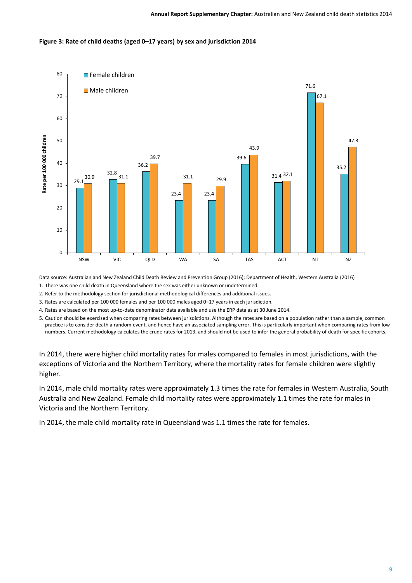#### **Figure 3: Rate of child deaths (aged 0–17 years) by sex and jurisdiction 2014**



Data source: Australian and New Zealand Child Death Review and Prevention Group (2016); Department of Health, Western Australia (2016)

1. There was one child death in Queensland where the sex was either unknown or undetermined.

2. Refer to the methodology section for jurisdictional methodological differences and additional issues.

3. Rates are calculated per 100 000 females and per 100 000 males aged 0–17 years in each jurisdiction.

4. Rates are based on the most up-to-date denominator data available and use the ERP data as at 30 June 2014.

5. Caution should be exercised when comparing rates between jurisdictions. Although the rates are based on a population rather than a sample, common practice is to consider death a random event, and hence have an associated sampling error. This is particularly important when comparing rates from low numbers. Current methodology calculates the crude rates for 2013, and should not be used to infer the general probability of death for specific cohorts.

In 2014, there were higher child mortality rates for males compared to females in most jurisdictions, with the exceptions of Victoria and the Northern Territory, where the mortality rates for female children were slightly higher.

In 2014, male child mortality rates were approximately 1.3 times the rate for females in Western Australia, South Australia and New Zealand. Female child mortality rates were approximately 1.1 times the rate for males in Victoria and the Northern Territory.

In 2014, the male child mortality rate in Queensland was 1.1 times the rate for females.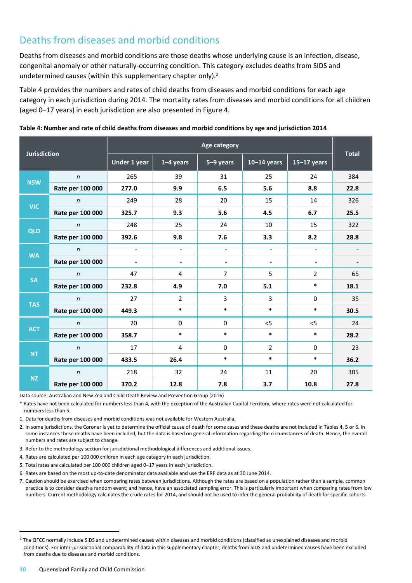## Deaths from diseases and morbid conditions

Deaths from diseases and morbid conditions are those deaths whose underlying cause is an infection, disease, congenital anomaly or other naturally-occurring condition. This category excludes deaths from SIDS and undetermined causes (within this supplementary chapter only).<sup>2</sup>

Table 4 provides the numbers and rates of child deaths from diseases and morbid conditions for each age category in each jurisdiction during 2014. The mortality rates from diseases and morbid conditions for all children (aged 0–17 years) in each jurisdiction are also presented in Figure 4.

| <b>Jurisdiction</b> |                  | <b>Age category</b>      |                          |                          |                          |                          |              |
|---------------------|------------------|--------------------------|--------------------------|--------------------------|--------------------------|--------------------------|--------------|
|                     |                  | Under 1 year             | $1-4$ years              | 5-9 years                | $10-14$ years            | $15-17$ years            | <b>Total</b> |
| <b>NSW</b>          | $\mathsf{n}$     | 265                      | 39                       | 31                       | 25                       | 24                       | 384          |
|                     | Rate per 100 000 | 277.0                    | 9.9                      | 6.5                      | 5.6                      | 8.8                      | 22.8         |
| <b>VIC</b>          | $\boldsymbol{n}$ | 249                      | 28                       | 20                       | 15                       | 14                       | 326          |
|                     | Rate per 100 000 | 325.7                    | 9.3                      | 5.6                      | 4.5                      | 6.7                      | 25.5         |
|                     | $\eta$           | 248                      | 25                       | 24                       | 10                       | 15                       | 322          |
| <b>QLD</b>          | Rate per 100 000 | 392.6                    | 9.8                      | 7.6                      | 3.3                      | 8.2                      | 28.8         |
|                     | $\mathsf{n}$     | $\overline{\phantom{a}}$ | $\overline{\phantom{a}}$ | $\overline{\phantom{a}}$ | $\overline{\phantom{a}}$ | $\overline{\phantom{a}}$ |              |
| <b>WA</b>           | Rate per 100 000 |                          | $\blacksquare$           | -                        |                          | $\blacksquare$           |              |
|                     | $\mathsf{n}$     | 47                       | 4                        | $\overline{7}$           | 5                        | $\overline{2}$           | 65           |
| <b>SA</b>           | Rate per 100 000 | 232.8                    | 4.9                      | 7.0                      | 5.1                      | $\ast$                   | 18.1         |
|                     | $\mathsf{n}$     | 27                       | $\overline{2}$           | 3                        | 3                        | $\mathbf 0$              | 35           |
| <b>TAS</b>          | Rate per 100 000 | 449.3                    | $\ast$                   | $\ast$                   | $\ast$                   | $\ast$                   | 30.5         |
|                     | $\mathsf{n}$     | 20                       | $\mathbf 0$              | $\mathbf 0$              | $<$ 5                    | $<$ 5                    | 24           |
| <b>ACT</b>          | Rate per 100 000 | 358.7                    | $\ast$                   | $\ast$                   | $\ast$                   | $\ast$                   | 28.2         |
|                     | $\mathsf{n}$     | 17                       | 4                        | $\Omega$                 | $\overline{2}$           | $\mathbf{0}$             | 23           |
| <b>NT</b>           | Rate per 100 000 | 433.5                    | 26.4                     | $\ast$                   | $\ast$                   | $\ast$                   | 36.2         |
|                     | $\eta$           | 218                      | 32                       | 24                       | 11                       | 20                       | 305          |
| <b>NZ</b>           | Rate per 100 000 | 370.2                    | 12.8                     | 7.8                      | 3.7                      | 10.8                     | 27.8         |

**Table 4: Number and rate of child deaths from diseases and morbid conditions by age and jurisdiction 2014**

Data source: Australian and New Zealand Child Death Review and Prevention Group (2016)

\* Rates have not been calculated for numbers less than 4, with the exception of the Australian Capital Territory, where rates were not calculated for numbers less than 5.

1. Data for deaths from diseases and morbid conditions was not available for Western Australia.

2. In some jurisdictions, the Coroner is yet to determine the official cause of death for some cases and these deaths are not included in Tables 4, 5 or 6. In some instances these deaths have been included, but the data is based on general information regarding the circumstances of death. Hence, the overall numbers and rates are subject to change.

- 3. Refer to the methodology section for jurisdictional methodological differences and additional issues.
- 4. Rates are calculated per 100 000 children in each age category in each jurisdiction.
- 5. Total rates are calculated per 100 000 children aged 0–17 years in each jurisdiction.
- 6. Rates are based on the most up-to-date denominator data available and use the ERP data as at 30 June 2014.
- 7. Caution should be exercised when comparing rates between jurisdictions. Although the rates are based on a population rather than a sample, common practice is to consider death a random event; and hence, have an associated sampling error. This is particularly important when comparing rates from low numbers. Current methodology calculates the crude rates for 2014, and should not be used to infer the general probability of death for specific cohorts.

 $\overline{a}$ 

 $^2$  The QFCC normally include SIDS and undetermined causes within diseases and morbid conditions (classified as unexplained diseases and morbid conditions). For inter-jurisdictional comparability of data in this supplementary chapter, deaths from SIDS and undetermined causes have been excluded from deaths due to diseases and morbid conditions.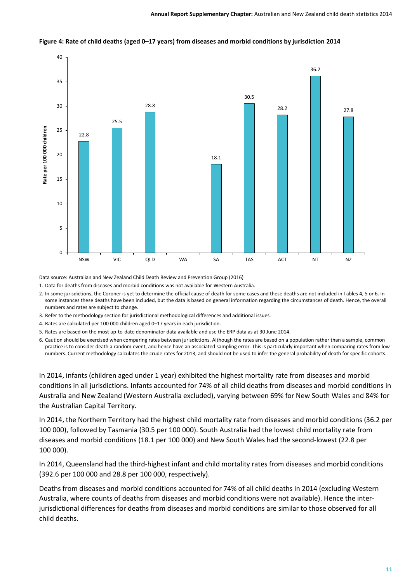

#### **Figure 4: Rate of child deaths (aged 0–17 years) from diseases and morbid conditions by jurisdiction 2014**

Data source: Australian and New Zealand Child Death Review and Prevention Group (2016)

1. Data for deaths from diseases and morbid conditions was not available for Western Australia.

2. In some jurisdictions, the Coroner is yet to determine the official cause of death for some cases and these deaths are not included in Tables 4, 5 or 6. In some instances these deaths have been included, but the data is based on general information regarding the circumstances of death. Hence, the overall numbers and rates are subject to change.

3. Refer to the methodology section for jurisdictional methodological differences and additional issues.

4. Rates are calculated per 100 000 children aged 0–17 years in each jurisdiction.

5. Rates are based on the most up-to-date denominator data available and use the ERP data as at 30 June 2014.

6. Caution should be exercised when comparing rates between jurisdictions. Although the rates are based on a population rather than a sample, common practice is to consider death a random event, and hence have an associated sampling error. This is particularly important when comparing rates from low numbers. Current methodology calculates the crude rates for 2013, and should not be used to infer the general probability of death for specific cohorts.

In 2014, infants (children aged under 1 year) exhibited the highest mortality rate from diseases and morbid conditions in all jurisdictions. Infants accounted for 74% of all child deaths from diseases and morbid conditions in Australia and New Zealand (Western Australia excluded), varying between 69% for New South Wales and 84% for the Australian Capital Territory.

In 2014, the Northern Territory had the highest child mortality rate from diseases and morbid conditions (36.2 per 100 000), followed by Tasmania (30.5 per 100 000). South Australia had the lowest child mortality rate from diseases and morbid conditions (18.1 per 100 000) and New South Wales had the second-lowest (22.8 per 100 000).

In 2014, Queensland had the third-highest infant and child mortality rates from diseases and morbid conditions (392.6 per 100 000 and 28.8 per 100 000, respectively).

Deaths from diseases and morbid conditions accounted for 74% of all child deaths in 2014 (excluding Western Australia, where counts of deaths from diseases and morbid conditions were not available). Hence the interjurisdictional differences for deaths from diseases and morbid conditions are similar to those observed for all child deaths.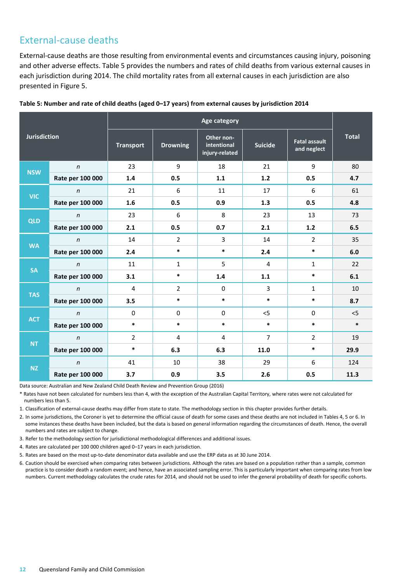## External-cause deaths

External-cause deaths are those resulting from environmental events and circumstances causing injury, poisoning and other adverse effects. Table 5 provides the numbers and rates of child deaths from various external causes in each jurisdiction during 2014. The child mortality rates from all external causes in each jurisdiction are also presented in Figure 5.

|                     |                  | <b>Age category</b> |                 |                                             |                |                                     |              |
|---------------------|------------------|---------------------|-----------------|---------------------------------------------|----------------|-------------------------------------|--------------|
| <b>Jurisdiction</b> |                  | <b>Transport</b>    | <b>Drowning</b> | Other non-<br>intentional<br>injury-related | <b>Suicide</b> | <b>Fatal assault</b><br>and neglect | <b>Total</b> |
| <b>NSW</b>          | $\mathsf{n}$     | 23                  | 9               | 18                                          | 21             | 9                                   | 80           |
|                     | Rate per 100 000 | 1.4                 | 0.5             | 1.1                                         | $1.2$          | 0.5                                 | 4.7          |
| <b>VIC</b>          | $\mathsf{n}$     | 21                  | 6               | 11                                          | 17             | 6                                   | 61           |
|                     | Rate per 100 000 | 1.6                 | 0.5             | 0.9                                         | 1.3            | 0.5                                 | 4.8          |
| <b>QLD</b>          | $\mathsf{n}$     | 23                  | 6               | 8                                           | 23             | 13                                  | 73           |
|                     | Rate per 100 000 | 2.1                 | 0.5             | 0.7                                         | 2.1            | $1.2$                               | 6.5          |
|                     | $\mathsf{n}$     | 14                  | $\overline{2}$  | $\overline{3}$                              | 14             | $\overline{2}$                      | 35           |
| <b>WA</b>           | Rate per 100 000 | 2.4                 | $\ast$          | $\ast$                                      | 2.4            | $\ast$                              | 6.0          |
| <b>SA</b>           | $\boldsymbol{n}$ | 11                  | $\mathbf{1}$    | 5                                           | $\overline{4}$ | $\mathbf{1}$                        | 22           |
|                     | Rate per 100 000 | 3.1                 | $\ast$          | 1.4                                         | 1.1            | $\ast$                              | 6.1          |
| <b>TAS</b>          | $\mathsf{n}$     | $\overline{4}$      | $\overline{2}$  | $\mathbf 0$                                 | $\overline{3}$ | $\mathbf{1}$                        | 10           |
|                     | Rate per 100 000 | 3.5                 | $\ast$          | $\ast$                                      | $\ast$         | $\ast$                              | 8.7          |
| <b>ACT</b>          | $\mathsf{n}$     | 0                   | $\Omega$        | $\mathbf 0$                                 | $<$ 5          | 0                                   | 5            |
|                     | Rate per 100 000 | $\ast$              | $\ast$          | $\ast$                                      | $\ast$         | $\ast$                              | $\ast$       |
|                     | $\mathsf{n}$     | $\overline{2}$      | 4               | 4                                           | $\overline{7}$ | $\overline{2}$                      | 19           |
| <b>NT</b>           | Rate per 100 000 | $\ast$              | 6.3             | 6.3                                         | 11.0           | $\ast$                              | 29.9         |
| <b>NZ</b>           | $\mathsf{n}$     | 41                  | 10              | 38                                          | 29             | 6                                   | 124          |
|                     | Rate per 100 000 | 3.7                 | 0.9             | 3.5                                         | 2.6            | 0.5                                 | 11.3         |

Data source: Australian and New Zealand Child Death Review and Prevention Group (2016)

\* Rates have not been calculated for numbers less than 4, with the exception of the Australian Capital Territory, where rates were not calculated for numbers less than 5.

1. Classification of external-cause deaths may differ from state to state. The methodology section in this chapter provides further details.

2. In some jurisdictions, the Coroner is yet to determine the official cause of death for some cases and these deaths are not included in Tables 4, 5 or 6. In some instances these deaths have been included, but the data is based on general information regarding the circumstances of death. Hence, the overall numbers and rates are subject to change.

3. Refer to the methodology section for jurisdictional methodological differences and additional issues.

4. Rates are calculated per 100 000 children aged 0–17 years in each jurisdiction.

- 5. Rates are based on the most up-to-date denominator data available and use the ERP data as at 30 June 2014.
- 6. Caution should be exercised when comparing rates between jurisdictions. Although the rates are based on a population rather than a sample, common practice is to consider death a random event; and hence, have an associated sampling error. This is particularly important when comparing rates from low numbers. Current methodology calculates the crude rates for 2014, and should not be used to infer the general probability of death for specific cohorts.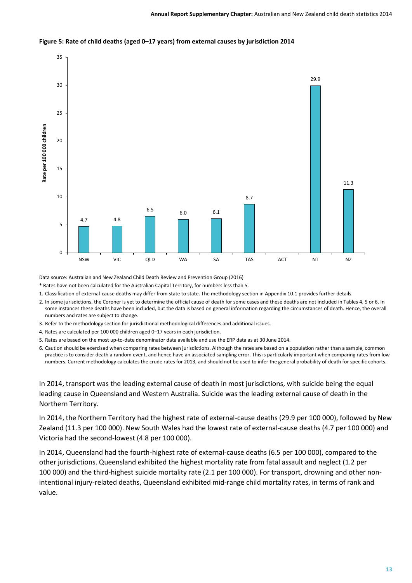

#### **Figure 5: Rate of child deaths (aged 0–17 years) from external causes by jurisdiction 2014**

Data source: Australian and New Zealand Child Death Review and Prevention Group (2016)

\* Rates have not been calculated for the Australian Capital Territory, for numbers less than 5.

1. Classification of external-cause deaths may differ from state to state. The methodology section in Appendix 10.1 provides further details.

2. In some jurisdictions, the Coroner is yet to determine the official cause of death for some cases and these deaths are not included in Tables 4, 5 or 6. In some instances these deaths have been included, but the data is based on general information regarding the circumstances of death. Hence, the overall numbers and rates are subject to change.

- 3. Refer to the methodology section for jurisdictional methodological differences and additional issues.
- 4. Rates are calculated per 100 000 children aged 0–17 years in each jurisdiction.
- 5. Rates are based on the most up-to-date denominator data available and use the ERP data as at 30 June 2014.
- 6. Caution should be exercised when comparing rates between jurisdictions. Although the rates are based on a population rather than a sample, common practice is to consider death a random event, and hence have an associated sampling error. This is particularly important when comparing rates from low numbers. Current methodology calculates the crude rates for 2013, and should not be used to infer the general probability of death for specific cohorts.

In 2014, transport was the leading external cause of death in most jurisdictions, with suicide being the equal leading cause in Queensland and Western Australia. Suicide was the leading external cause of death in the Northern Territory.

In 2014, the Northern Territory had the highest rate of external-cause deaths (29.9 per 100 000), followed by New Zealand (11.3 per 100 000). New South Wales had the lowest rate of external-cause deaths (4.7 per 100 000) and Victoria had the second-lowest (4.8 per 100 000).

In 2014, Queensland had the fourth-highest rate of external-cause deaths (6.5 per 100 000), compared to the other jurisdictions. Queensland exhibited the highest mortality rate from fatal assault and neglect (1.2 per 100 000) and the third-highest suicide mortality rate (2.1 per 100 000). For transport, drowning and other nonintentional injury-related deaths, Queensland exhibited mid-range child mortality rates, in terms of rank and value.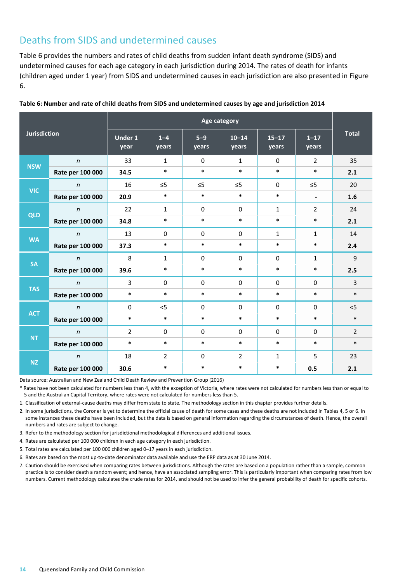## Deaths from SIDS and undetermined causes

Table 6 provides the numbers and rates of child deaths from sudden infant death syndrome (SIDS) and undetermined causes for each age category in each jurisdiction during 2014. The rates of death for infants (children aged under 1 year) from SIDS and undetermined causes in each jurisdiction are also presented in Figure 6.

|                     |                  | Age category           |                  |                |                    |                    |                          |                |
|---------------------|------------------|------------------------|------------------|----------------|--------------------|--------------------|--------------------------|----------------|
| <b>Jurisdiction</b> |                  | <b>Under 1</b><br>year | $1 - 4$<br>years | $5-9$<br>years | $10 - 14$<br>years | $15 - 17$<br>years | $1 - 17$<br>years        | <b>Total</b>   |
| <b>NSW</b>          | $\mathsf{n}$     | 33                     | $\mathbf{1}$     | $\Omega$       | $\mathbf{1}$       | $\mathbf{0}$       | $\overline{2}$           | 35             |
|                     | Rate per 100 000 | 34.5                   | $\ast$           | $\ast$         | $\ast$             | $\ast$             | $\ast$                   | 2.1            |
| <b>VIC</b>          | $\boldsymbol{n}$ | 16                     | $\leq 5$         | $\leq$ 5       | $\leq$ 5           | $\mathbf{0}$       | $\leq$ 5                 | 20             |
|                     | Rate per 100 000 | 20.9                   | $\ast$           | $\ast$         | $\ast$             | $\ast$             | $\overline{\phantom{a}}$ | 1.6            |
|                     | $\mathsf{n}$     | 22                     | $\mathbf{1}$     | $\mathbf 0$    | $\mathbf 0$        | $\mathbf{1}$       | $\overline{2}$           | 24             |
| QLD                 | Rate per 100 000 | 34.8                   | $\ast$           | $\ast$         | $\ast$             | $\ast$             | $\ast$                   | 2.1            |
| <b>WA</b>           | $\mathsf{n}$     | 13                     | $\mathbf 0$      | $\mathbf 0$    | $\mathbf 0$        | $\mathbf{1}$       | $\mathbf{1}$             | 14             |
|                     | Rate per 100 000 | 37.3                   | $\ast$           | $\ast$         | $\ast$             | $\ast$             | $\ast$                   | 2.4            |
|                     | $\mathsf{n}$     | 8                      | $\mathbf{1}$     | $\Omega$       | $\Omega$           | $\mathbf{0}$       | $\mathbf{1}$             | 9              |
| <b>SA</b>           | Rate per 100 000 | 39.6                   | $\ast$           | $\ast$         | $\ast$             | $\ast$             | $\ast$                   | 2.5            |
| <b>TAS</b>          | $\mathsf{n}$     | 3                      | $\Omega$         | $\mathbf 0$    | $\Omega$           | $\mathbf{0}$       | $\Omega$                 | 3              |
|                     | Rate per 100 000 | $\ast$                 | $\ast$           | $\ast$         | $\ast$             | $\ast$             | $\ast$                   | $\ast$         |
| <b>ACT</b>          | $\mathsf{n}$     | $\Omega$               | $<$ 5            | $\mathbf 0$    | $\mathbf 0$        | $\mathbf{0}$       | $\mathbf 0$              | $<$ 5          |
|                     | Rate per 100 000 | $\ast$                 | $\ast$           | $\ast$         | $\ast$             | $\ast$             | $\ast$                   | $\ast$         |
|                     | $\mathsf{n}$     | $\overline{2}$         | $\mathbf 0$      | $\mathbf 0$    | $\mathbf 0$        | $\Omega$           | $\mathbf 0$              | $\overline{2}$ |
| <b>NT</b>           | Rate per 100 000 | $\ast$                 | $\ast$           | $\ast$         | $\ast$             | $\ast$             | $\ast$                   | $\ast$         |
|                     | $\mathsf{n}$     | 18                     | $\overline{2}$   | $\Omega$       | $\overline{2}$     | $\mathbf{1}$       | 5                        | 23             |
| <b>NZ</b>           | Rate per 100 000 | 30.6                   | $\ast$           | $\ast$         | $\ast$             | $\ast$             | 0.5                      | 2.1            |

#### **Table 6: Number and rate of child deaths from SIDS and undetermined causes by age and jurisdiction 2014**

Data source: Australian and New Zealand Child Death Review and Prevention Group (2016)

\* Rates have not been calculated for numbers less than 4, with the exception of Victoria, where rates were not calculated for numbers less than or equal to 5 and the Australian Capital Territory, where rates were not calculated for numbers less than 5.

1. Classification of external-cause deaths may differ from state to state. The methodology section in this chapter provides further details.

2. In some jurisdictions, the Coroner is yet to determine the official cause of death for some cases and these deaths are not included in Tables 4, 5 or 6. In some instances these deaths have been included, but the data is based on general information regarding the circumstances of death. Hence, the overall numbers and rates are subject to change.

3. Refer to the methodology section for jurisdictional methodological differences and additional issues.

4. Rates are calculated per 100 000 children in each age category in each jurisdiction.

5. Total rates are calculated per 100 000 children aged 0–17 years in each jurisdiction.

6. Rates are based on the most up-to-date denominator data available and use the ERP data as at 30 June 2014.

7. Caution should be exercised when comparing rates between jurisdictions. Although the rates are based on a population rather than a sample, common practice is to consider death a random event; and hence, have an associated sampling error. This is particularly important when comparing rates from low numbers. Current methodology calculates the crude rates for 2014, and should not be used to infer the general probability of death for specific cohorts.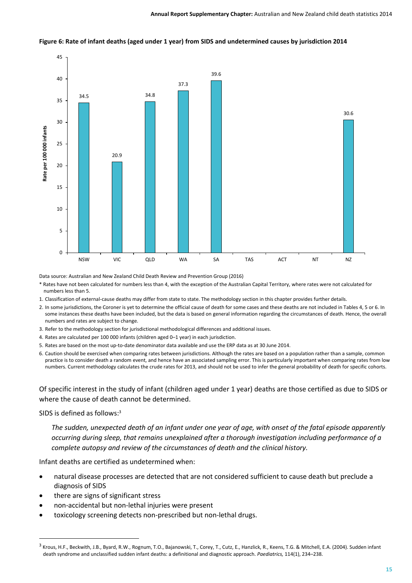



Data source: Australian and New Zealand Child Death Review and Prevention Group (2016)

- \* Rates have not been calculated for numbers less than 4, with the exception of the Australian Capital Territory, where rates were not calculated for numbers less than 5.
- 1. Classification of external-cause deaths may differ from state to state. The methodology section in this chapter provides further details.
- 2. In some jurisdictions, the Coroner is yet to determine the official cause of death for some cases and these deaths are not included in Tables 4, 5 or 6. In some instances these deaths have been included, but the data is based on general information regarding the circumstances of death. Hence, the overall numbers and rates are subject to change.
- 3. Refer to the methodology section for jurisdictional methodological differences and additional issues.
- 4. Rates are calculated per 100 000 infants (children aged 0–1 year) in each jurisdiction.
- 5. Rates are based on the most up-to-date denominator data available and use the ERP data as at 30 June 2014.
- 6. Caution should be exercised when comparing rates between jurisdictions. Although the rates are based on a population rather than a sample, common practice is to consider death a random event, and hence have an associated sampling error. This is particularly important when comparing rates from low numbers. Current methodology calculates the crude rates for 2013, and should not be used to infer the general probability of death for specific cohorts.

Of specific interest in the study of infant (children aged under 1 year) deaths are those certified as due to SIDS or where the cause of death cannot be determined.

SIDS is defined as follows: 3

**.** 

*The sudden, unexpected death of an infant under one year of age, with onset of the fatal episode apparently occurring during sleep, that remains unexplained after a thorough investigation including performance of a complete autopsy and review of the circumstances of death and the clinical history.*

Infant deaths are certified as undetermined when:

- natural disease processes are detected that are not considered sufficient to cause death but preclude a diagnosis of SIDS
- there are signs of significant stress
- non-accidental but non-lethal injuries were present
- toxicology screening detects non-prescribed but non-lethal drugs.

<sup>3</sup> Krous, H.F., Beckwith, J.B., Byard, R.W., Rognum, T.O., Bajanowski, T., Corey, T., Cutz, E., Hanzlick, R., Keens, T.G. & Mitchell, E.A. (2004). Sudden infant death syndrome and unclassified sudden infant deaths: a definitional and diagnostic approach. *Paediatrics,* 114(1), 234–238.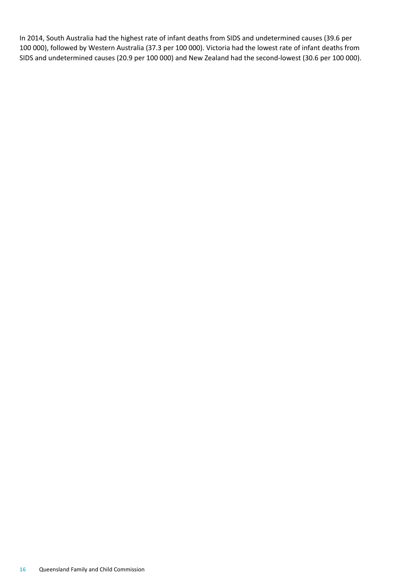In 2014, South Australia had the highest rate of infant deaths from SIDS and undetermined causes (39.6 per 100 000), followed by Western Australia (37.3 per 100 000). Victoria had the lowest rate of infant deaths from SIDS and undetermined causes (20.9 per 100 000) and New Zealand had the second-lowest (30.6 per 100 000).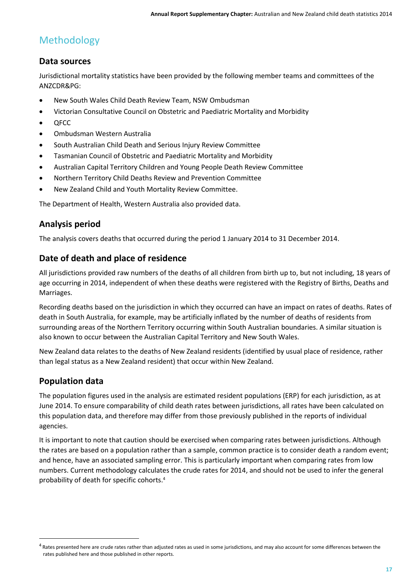# Methodology

## **Data sources**

Jurisdictional mortality statistics have been provided by the following member teams and committees of the ANZCDR&PG:

- New South Wales Child Death Review Team, NSW Ombudsman
- Victorian Consultative Council on Obstetric and Paediatric Mortality and Morbidity
- OFCC
- Ombudsman Western Australia
- South Australian Child Death and Serious Injury Review Committee
- Tasmanian Council of Obstetric and Paediatric Mortality and Morbidity
- Australian Capital Territory Children and Young People Death Review Committee
- Northern Territory Child Deaths Review and Prevention Committee
- New Zealand Child and Youth Mortality Review Committee.

The Department of Health, Western Australia also provided data.

## **Analysis period**

The analysis covers deaths that occurred during the period 1 January 2014 to 31 December 2014.

### **Date of death and place of residence**

All jurisdictions provided raw numbers of the deaths of all children from birth up to, but not including, 18 years of age occurring in 2014, independent of when these deaths were registered with the Registry of Births, Deaths and Marriages.

Recording deaths based on the jurisdiction in which they occurred can have an impact on rates of deaths. Rates of death in South Australia, for example, may be artificially inflated by the number of deaths of residents from surrounding areas of the Northern Territory occurring within South Australian boundaries. A similar situation is also known to occur between the Australian Capital Territory and New South Wales.

New Zealand data relates to the deaths of New Zealand residents (identified by usual place of residence, rather than legal status as a New Zealand resident) that occur within New Zealand.

### **Population data**

**.** 

The population figures used in the analysis are estimated resident populations (ERP) for each jurisdiction, as at June 2014. To ensure comparability of child death rates between jurisdictions, all rates have been calculated on this population data, and therefore may differ from those previously published in the reports of individual agencies.

It is important to note that caution should be exercised when comparing rates between jurisdictions. Although the rates are based on a population rather than a sample, common practice is to consider death a random event; and hence, have an associated sampling error. This is particularly important when comparing rates from low numbers. Current methodology calculates the crude rates for 2014, and should not be used to infer the general probability of death for specific cohorts. 4

 $^4$  Rates presented here are crude rates rather than adjusted rates as used in some jurisdictions, and may also account for some differences between the rates published here and those published in other reports.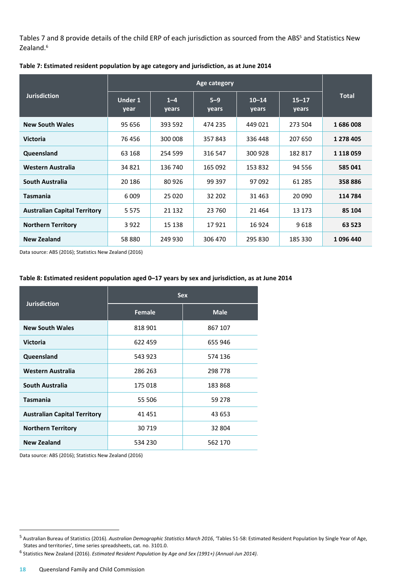Tables 7 and 8 provide details of the child ERP of each jurisdiction as sourced from the ABS<sup>5</sup> and Statistics New Zealand.<sup>6</sup>

|                                     | Age category    |                  |                  |                    |                    |               |
|-------------------------------------|-----------------|------------------|------------------|--------------------|--------------------|---------------|
| <b>Jurisdiction</b>                 | Under 1<br>year | $1 - 4$<br>years | $5 - 9$<br>years | $10 - 14$<br>years | $15 - 17$<br>years | <b>Total</b>  |
| <b>New South Wales</b>              | 95 656          | 393 592          | 474 235          | 449021             | 273 504            | 1686008       |
| <b>Victoria</b>                     | 76 456          | 300 008          | 357843           | 336 448            | 207 650            | 1 278 405     |
| Queensland                          | 63 168          | 254 599          | 316 547          | 300 928            | 182 817            | 1 1 1 8 0 5 9 |
| Western Australia                   | 34 821          | 136 740          | 165 092          | 153 832            | 94 556             | 585 041       |
| South Australia                     | 20 18 6         | 80 9 26          | 99 397           | 97 092             | 61 285             | 358 886       |
| <b>Tasmania</b>                     | 6 0 0 9         | 25 0 20          | 32 202           | 31 4 63            | 20 090             | 114 784       |
| <b>Australian Capital Territory</b> | 5 5 7 5         | 21 132           | 23 760           | 21 4 64            | 13 173             | 85 104        |
| <b>Northern Territory</b>           | 3 9 2 2         | 15 138           | 17921            | 16 9 24            | 9618               | 63 523        |
| <b>New Zealand</b>                  | 58 880          | 249 930          | 306 470          | 295 830            | 185 330            | 1096440       |

**Table 7: Estimated resident population by age category and jurisdiction, as at June 2014**

Data source: ABS (2016); Statistics New Zealand (2016)

#### **Table 8: Estimated resident population aged 0–17 years by sex and jurisdiction, as at June 2014**

|                                     | <b>Sex</b> |             |  |  |  |
|-------------------------------------|------------|-------------|--|--|--|
| <b>Jurisdiction</b>                 | Female     | <b>Male</b> |  |  |  |
| <b>New South Wales</b>              | 818 901    | 867 107     |  |  |  |
| <b>Victoria</b>                     | 622 459    | 655 946     |  |  |  |
| Queensland                          | 543 923    | 574 136     |  |  |  |
| <b>Western Australia</b>            | 286 263    | 298 778     |  |  |  |
| South Australia                     | 175 018    | 183 868     |  |  |  |
| <b>Tasmania</b>                     | 55 506     | 59 278      |  |  |  |
| <b>Australian Capital Territory</b> | 41 451     | 43 653      |  |  |  |
| <b>Northern Territory</b>           | 30 719     | 32 804      |  |  |  |
| <b>New Zealand</b>                  | 534 230    | 562 170     |  |  |  |

Data source: ABS (2016); Statistics New Zealand (2016)

 $\overline{a}$ 

<sup>5</sup> Australian Bureau of Statistics (2016). *Australian Demographic Statistics March 2016*, 'Tables 51-58: Estimated Resident Population by Single Year of Age, States and territories', time series spreadsheets, cat. no. 3101.0.

<sup>6</sup> Statistics New Zealand (2016). *Estimated Resident Population by Age and Sex (1991+) (Annual-Jun 2014)*.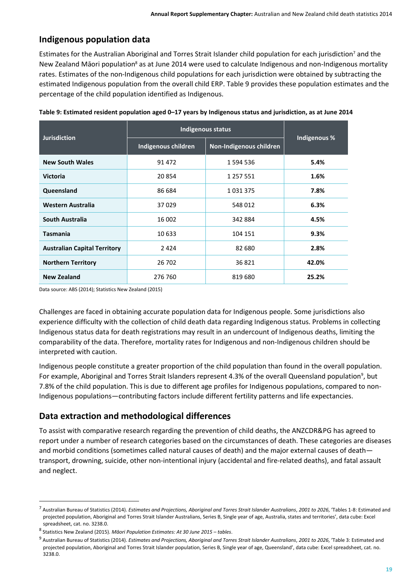## **Indigenous population data**

Estimates for the Australian Aboriginal and Torres Strait Islander child population for each jurisdiction<sup>7</sup> and the New Zealand Māori population<sup>8</sup> as at June 2014 were used to calculate Indigenous and non-Indigenous mortality rates. Estimates of the non-Indigenous child populations for each jurisdiction were obtained by subtracting the estimated Indigenous population from the overall child ERP. Table 9 provides these population estimates and the percentage of the child population identified as Indigenous.

|                                     | Indigenous status                              | Indigenous % |       |
|-------------------------------------|------------------------------------------------|--------------|-------|
| <b>Jurisdiction</b>                 | Indigenous children<br>Non-Indigenous children |              |       |
| <b>New South Wales</b>              | 91 472                                         | 1 594 536    | 5.4%  |
| <b>Victoria</b>                     | 20 854                                         | 1 257 551    | 1.6%  |
| Queensland                          | 86 684                                         | 1031375      | 7.8%  |
| Western Australia                   | 37029                                          | 548 012      | 6.3%  |
| South Australia                     | 16 002                                         | 342 884      | 4.5%  |
| <b>Tasmania</b>                     | 10 633                                         | 104 151      | 9.3%  |
| <b>Australian Capital Territory</b> | 2424                                           | 82 680       | 2.8%  |
| <b>Northern Territory</b>           | 26 702                                         | 36821        | 42.0% |
| <b>New Zealand</b>                  | 276 760                                        | 819 680      | 25.2% |

**Table 9: Estimated resident population aged 0–17 years by Indigenous status and jurisdiction, as at June 2014**

Data source: ABS (2014); Statistics New Zealand (2015)

Challenges are faced in obtaining accurate population data for Indigenous people. Some jurisdictions also experience difficulty with the collection of child death data regarding Indigenous status. Problems in collecting Indigenous status data for death registrations may result in an undercount of Indigenous deaths, limiting the comparability of the data. Therefore, mortality rates for Indigenous and non-Indigenous children should be interpreted with caution.

Indigenous people constitute a greater proportion of the child population than found in the overall population. For example, Aboriginal and Torres Strait Islanders represent 4.3% of the overall Queensland population<sup>9</sup>, but 7.8% of the child population. This is due to different age profiles for Indigenous populations, compared to non-Indigenous populations—contributing factors include different fertility patterns and life expectancies.

## **Data extraction and methodological differences**

To assist with comparative research regarding the prevention of child deaths, the ANZCDR&PG has agreed to report under a number of research categories based on the circumstances of death. These categories are diseases and morbid conditions (sometimes called natural causes of death) and the major external causes of death transport, drowning, suicide, other non-intentional injury (accidental and fire-related deaths), and fatal assault and neglect.

1

<sup>7</sup> Australian Bureau of Statistics (2014). *Estimates and Projections, Aboriginal and Torres Strait Islander Australians*, *2001 to 2026*, 'Tables 1-8: Estimated and projected population, Aboriginal and Torres Strait Islander Australians, Series B, Single year of age, Australia, states and territories', data cube: Excel spreadsheet, cat. no. 3238.0.

<sup>8</sup> Statistics New Zealand (2015). *Māori Population Estimates: At 30 June 2015 – tables*.

<sup>9</sup> Australian Bureau of Statistics (2014). *Estimates and Projections, Aboriginal and Torres Strait Islander Australians*, *2001 to 2026*, 'Table 3: Estimated and projected population, Aboriginal and Torres Strait Islander population, Series B, Single year of age, Queensland', data cube: Excel spreadsheet, cat. no. 3238.0.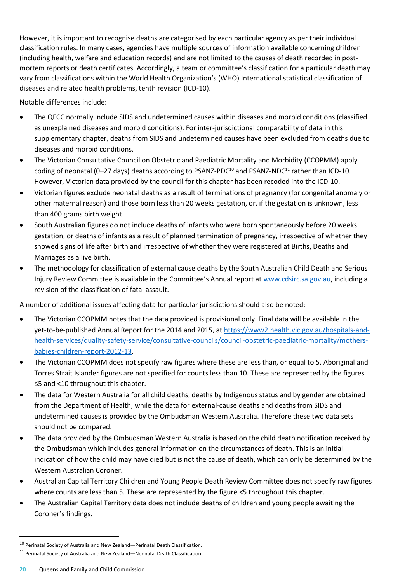However, it is important to recognise deaths are categorised by each particular agency as per their individual classification rules. In many cases, agencies have multiple sources of information available concerning children (including health, welfare and education records) and are not limited to the causes of death recorded in postmortem reports or death certificates. Accordingly, a team or committee's classification for a particular death may vary from classifications within the World Health Organization's (WHO) International statistical classification of diseases and related health problems, tenth revision (ICD-10).

Notable differences include:

- The QFCC normally include SIDS and undetermined causes within diseases and morbid conditions (classified as unexplained diseases and morbid conditions). For inter-jurisdictional comparability of data in this supplementary chapter, deaths from SIDS and undetermined causes have been excluded from deaths due to diseases and morbid conditions.
- The Victorian Consultative Council on Obstetric and Paediatric Mortality and Morbidity (CCOPMM) apply coding of neonatal (0–27 days) deaths according to PSANZ-PDC<sup>10</sup> and PSANZ-NDC<sup>11</sup> rather than ICD-10. However, Victorian data provided by the council for this chapter has been recoded into the ICD-10.
- Victorian figures exclude neonatal deaths as a result of terminations of pregnancy (for congenital anomaly or other maternal reason) and those born less than 20 weeks gestation, or, if the gestation is unknown, less than 400 grams birth weight.
- South Australian figures do not include deaths of infants who were born spontaneously before 20 weeks gestation, or deaths of infants as a result of planned termination of pregnancy, irrespective of whether they showed signs of life after birth and irrespective of whether they were registered at Births, Deaths and Marriages as a live birth.
- The methodology for classification of external cause deaths by the South Australian Child Death and Serious Injury Review Committee is available in the Committee's Annual report at [www.cdsirc.sa.gov.au,](http://www.cdsirc.sa.gov.au/) including a revision of the classification of fatal assault.

A number of additional issues affecting data for particular jurisdictions should also be noted:

- The Victorian CCOPMM notes that the data provided is provisional only. Final data will be available in the yet-to-be-published Annual Report for the 2014 and 2015, at [https://www2.health.vic.gov.au/hospitals-and](https://www2.health.vic.gov.au/hospitals-and-health-services/quality-safety-service/consultative-councils/council-obstetric-paediatric-mortality/mothers-babies-children-report-2012-13)[health-services/quality-safety-service/consultative-councils/council-obstetric-paediatric-mortality/mothers](https://www2.health.vic.gov.au/hospitals-and-health-services/quality-safety-service/consultative-councils/council-obstetric-paediatric-mortality/mothers-babies-children-report-2012-13)[babies-children-report-2012-13.](https://www2.health.vic.gov.au/hospitals-and-health-services/quality-safety-service/consultative-councils/council-obstetric-paediatric-mortality/mothers-babies-children-report-2012-13)
- The Victorian CCOPMM does not specify raw figures where these are less than, or equal to 5. Aboriginal and Torres Strait Islander figures are not specified for counts less than 10. These are represented by the figures ≤5 and <10 throughout this chapter.
- The data for Western Australia for all child deaths, deaths by Indigenous status and by gender are obtained from the Department of Health, while the data for external-cause deaths and deaths from SIDS and undetermined causes is provided by the Ombudsman Western Australia. Therefore these two data sets should not be compared.
- The data provided by the Ombudsman Western Australia is based on the child death notification received by the Ombudsman which includes general information on the circumstances of death. This is an initial indication of how the child may have died but is not the cause of death, which can only be determined by the Western Australian Coroner.
- Australian Capital Territory Children and Young People Death Review Committee does not specify raw figures where counts are less than 5. These are represented by the figure <5 throughout this chapter.
- The Australian Capital Territory data does not include deaths of children and young people awaiting the Coroner's findings.

 $\overline{a}$ 

 $10$  Perinatal Society of Australia and New Zealand—Perinatal Death Classification.

<sup>11</sup> Perinatal Society of Australia and New Zealand—Neonatal Death Classification.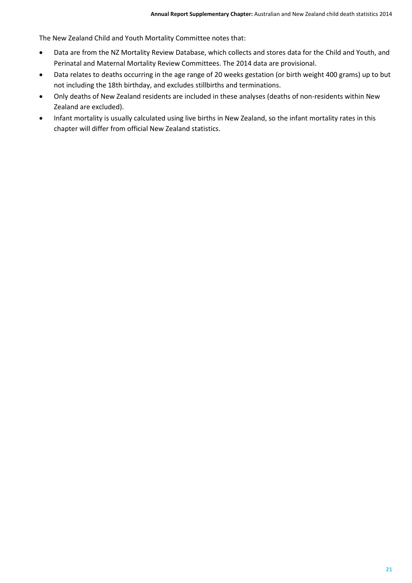The New Zealand Child and Youth Mortality Committee notes that:

- Data are from the NZ Mortality Review Database, which collects and stores data for the Child and Youth, and Perinatal and Maternal Mortality Review Committees. The 2014 data are provisional.
- Data relates to deaths occurring in the age range of 20 weeks gestation (or birth weight 400 grams) up to but not including the 18th birthday, and excludes stillbirths and terminations.
- Only deaths of New Zealand residents are included in these analyses (deaths of non-residents within New Zealand are excluded).
- Infant mortality is usually calculated using live births in New Zealand, so the infant mortality rates in this chapter will differ from official New Zealand statistics.